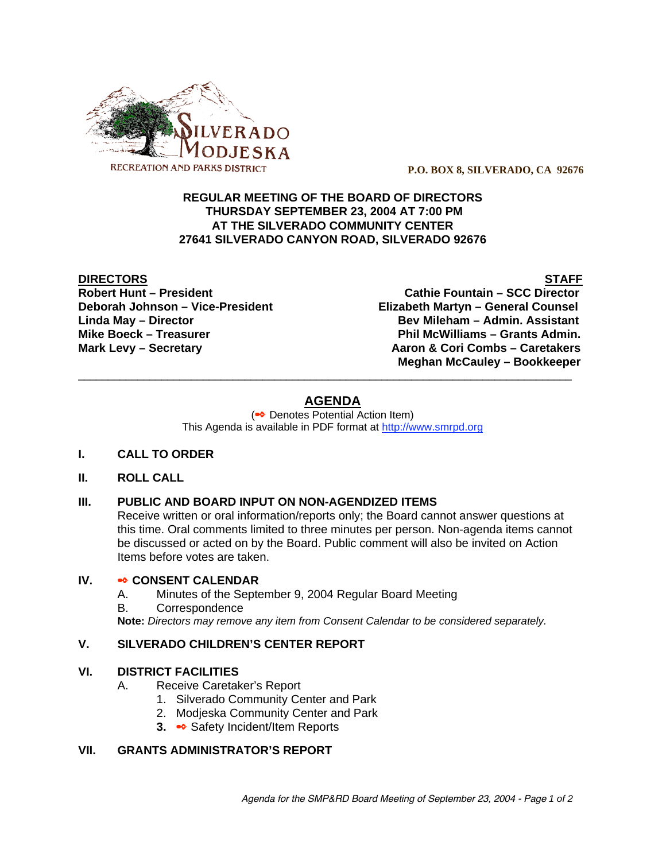

 **P.O. BOX 8, SILVERADO, CA 92676**

## **REGULAR MEETING OF THE BOARD OF DIRECTORS THURSDAY SEPTEMBER 23, 2004 AT 7:00 PM AT THE SILVERADO COMMUNITY CENTER 27641 SILVERADO CANYON ROAD, SILVERADO 92676**

**DIRECTORS** STAFF

**Robert Hunt – President Cathie Fountain – SCC Director Deborah Johnson – Vice-President Elizabeth Martyn – General Counsel Linda May – Director Bev Mileham – Admin. Assistant** Mike Boeck – Treasurer **Phil McWilliams – Grants Admin. Mark Levy – Secretary Combs – Caretakers** Aaron & Cori Combs – Caretakers  **Meghan McCauley – Bookkeeper**

# **AGENDA**

\_\_\_\_\_\_\_\_\_\_\_\_\_\_\_\_\_\_\_\_\_\_\_\_\_\_\_\_\_\_\_\_\_\_\_\_\_\_\_\_\_\_\_\_\_\_\_\_\_\_\_\_\_\_\_\_\_\_\_\_\_\_\_\_\_\_\_\_\_\_\_\_\_\_\_\_\_\_\_\_\_\_\_

(<sup>●●</sup> Denotes Potential Action Item) This Agenda is available in PDF format at http://www.smrpd.org

# **I. CALL TO ORDER**

#### **II. ROLL CALL**

# **III. PUBLIC AND BOARD INPUT ON NON-AGENDIZED ITEMS**

Receive written or oral information/reports only; the Board cannot answer questions at this time. Oral comments limited to three minutes per person. Non-agenda items cannot be discussed or acted on by the Board. Public comment will also be invited on Action Items before votes are taken.

## **IV.** • CONSENT CALENDAR

- A. Minutes of the September 9, 2004 Regular Board Meeting
- B. Correspondence

**Note:** *Directors may remove any item from Consent Calendar to be considered separately.*

#### **V. SILVERADO CHILDREN'S CENTER REPORT**

#### **VI. DISTRICT FACILITIES**

- A. Receive Caretaker's Report
	- 1. Silverado Community Center and Park
	- 2. Modjeska Community Center and Park
	- **3. Safety Incident/Item Reports**

#### **VII. GRANTS ADMINISTRATOR'S REPORT**